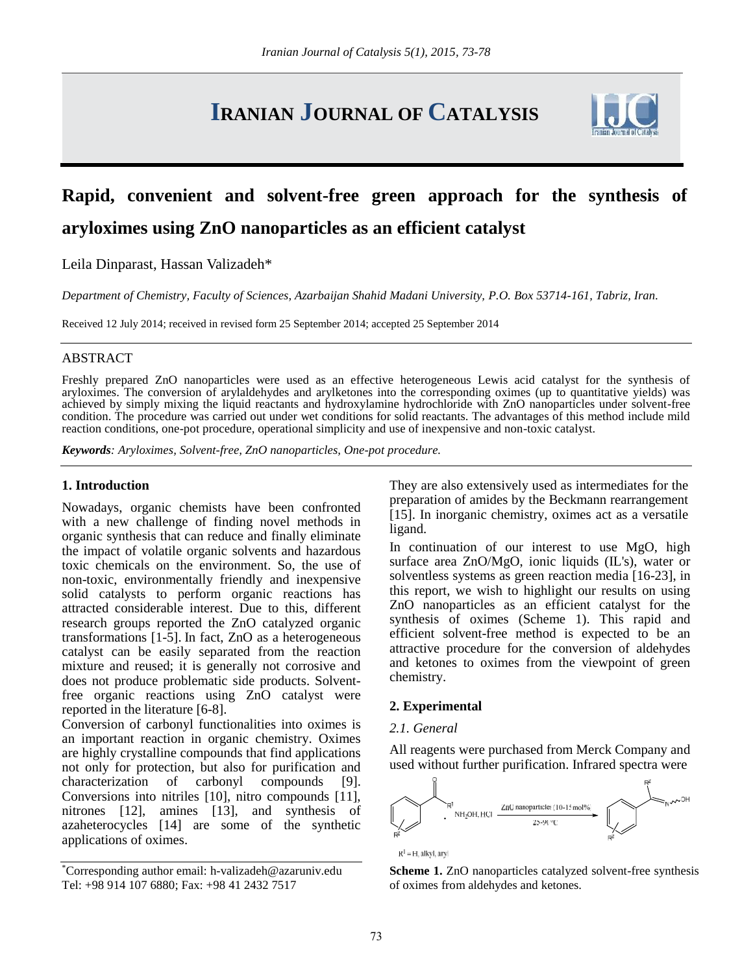# **IRANIAN JOURNAL OF CATALYSIS**



# **Rapid, convenient and solvent-free green approach for the synthesis of aryloximes using ZnO nanoparticles as an efficient catalyst**

Leila Dinparast, Hassan Valizadeh\*

*Department of Chemistry, Faculty of Sciences, Azarbaijan Shahid Madani University, P.O. Box 53714-161, Tabriz, Iran.*

Received 12 July 2014; received in revised form 25 September 2014; accepted 25 September 2014

## ABSTRACT

Freshly prepared ZnO nanoparticles were used as an effective heterogeneous Lewis acid catalyst for the synthesis of aryloximes. The conversion of arylaldehydes and arylketones into the corresponding oximes (up to quantitative yields) was achieved by simply mixing the liquid reactants and hydroxylamine hydrochloride with ZnO nanoparticles under solvent-free condition. The procedure was carried out under wet conditions for solid reactants. The advantages of this method include mild reaction conditions, one-pot procedure, operational simplicity and use of inexpensive and non-toxic catalyst.

*Keywords: Aryloximes, Solvent-free, ZnO nanoparticles, One-pot procedure.*

# **1. Introduction**

Nowadays, organic chemists have been confronted with a new challenge of finding novel methods in organic synthesis that can reduce and finally eliminate the impact of volatile organic solvents and hazardous toxic chemicals on the environment. So, the use of non-toxic, environmentally friendly and inexpensive solid catalysts to perform organic reactions has attracted considerable interest. Due to this, different research groups reported the ZnO catalyzed organic transformations [1-5]. In fact, ZnO as a heterogeneous catalyst can be easily separated from the reaction mixture and reused; it is generally not corrosive and does not produce problematic side products. Solventfree organic reactions using ZnO catalyst were reported in the literature [6-8].

Conversion of carbonyl functionalities into oximes is an important reaction in organic chemistry. Oximes are highly crystalline compounds that find applications not only for protection, but also for purification and characterization of carbonyl compounds [9]. Conversions into nitriles [10], nitro compounds [11], nitrones [12], amines [13], and synthesis of azaheterocycles [14] are some of the synthetic applications of oximes.

They are also extensively used as intermediates for the preparation of amides by the Beckmann rearrangement [15]. In inorganic chemistry, oximes act as a versatile ligand.

In continuation of our interest to use MgO, high surface area ZnO/MgO, ionic liquids (IL's), water or solventless systems as green reaction media [16-23], in this report, we wish to highlight our results on using ZnO nanoparticles as an efficient catalyst for the synthesis of oximes (Scheme 1). This rapid and efficient solvent-free method is expected to be an attractive procedure for the conversion of aldehydes and ketones to oximes from the viewpoint of green chemistry.

## **2. Experimental**

#### *2.1. General*

All reagents were purchased from Merck Company and used without further purification. Infrared spectra were



**Scheme 1.** ZnO nanoparticles catalyzed solvent-free synthesis of oximes from aldehydes and ketones.

<sup>\*</sup>Corresponding author email: h-valizadeh@azaruniv.edu Tel: +98 914 107 6880; Fax: +98 41 2432 7517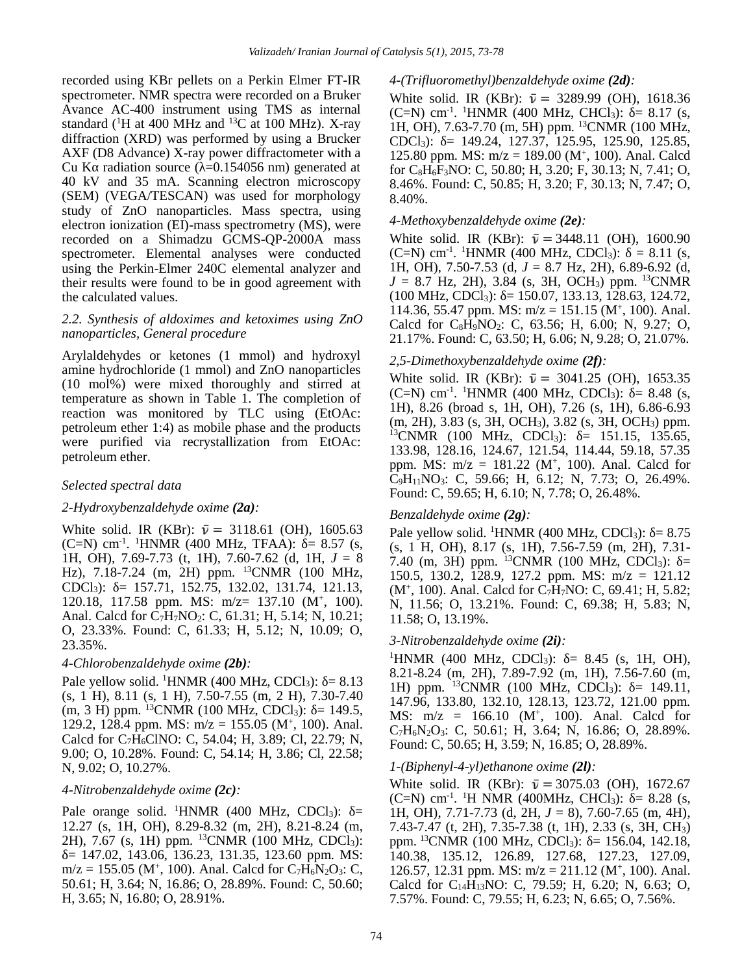recorded using KBr pellets on a Perkin Elmer FT-IR spectrometer. NMR spectra were recorded on a Bruker Avance AC-400 instrument using TMS as internal standard ( ${}^{1}$ H at 400 MHz and  ${}^{13}$ C at 100 MHz). X-ray diffraction (XRD) was performed by using a Brucker AXF (D8 Advance) X-ray power diffractometer with a Cu K radiation source ( $=0.154056$  nm) generated at 40 kV and 35 mA. Scanning electron microscopy (SEM) (VEGA/TESCAN) was used for morphology study of ZnO nanoparticles. Mass spectra, using electron ionization (EI)-mass spectrometry (MS), were recorded on a Shimadzu GCMS-QP-2000A mass spectrometer. Elemental analyses were conducted using the Perkin-Elmer 240C elemental analyzer and their results were found to be in good agreement with the calculated values.

# *2.2. Synthesis of aldoximes and ketoximes using ZnO nanoparticles, General procedure*

Arylaldehydes or ketones (1 mmol) and hydroxyl amine hydrochloride (1 mmol) and ZnO nanoparticles (10 mol%) were mixed thoroughly and stirred at temperature as shown in Table 1. The completion of reaction was monitored by TLC using (EtOAc: petroleum ether 1:4) as mobile phase and the products were purified via recrystallization from EtOAc: petroleum ether.

## *Selected spectral data*

## *2-Hydroxybenzaldehyde oxime (2a):*

White solid. IR (KBr):  $\bar{v} = 3118.61$  (OH), 1605.63 (C=N) cm<sup>-1</sup>. <sup>1</sup>HNMR (400 MHz, TFAA): = 8.57 (s,  $\overline{)}$ 1H, OH), 7.69-7.73 (t, 1H), 7.60-7.62 (d, 1H, *J* = 8 Hz), 7.18-7.24 (m, 2H) ppm. <sup>13</sup>CNMR (100 MHz, CDCl<sub>3</sub>): = 157.71, 152.75, 132.02, 131.74, 121.13, 120.18, 117.58 ppm. MS: m/z= 137.10 (M<sup>+</sup> , 100). Anal. Calcd for C<sub>7</sub>H<sub>7</sub>NO<sub>2</sub>: C, 61.31; H, 5.14; N, 10.21; O, 23.33%. Found: C, 61.33; H, 5.12; N, 10.09; O, 23.35%.

## *4-Chlorobenzaldehyde oxime (2b):*

Pale yellow solid. <sup>1</sup>HNMR (400 MHz, CDCl<sub>3</sub>): = 8.13 (s, 1 H), 8.11 (s, 1 H), 7.50-7.55 (m, 2 H), 7.30-7.40  $(m, 3 H)$  ppm. <sup>13</sup>CNMR (100 MHz, CDCl<sub>3</sub>): = 149.5, 129.2, 128.4 ppm. MS:  $m/z = 155.05$  (M<sup>+</sup>, 100). Anal. Calcd for  $C_7\widetilde{H}_6$ ClNO: C, 54.04; H, 3.89; Cl, 22.79; N, 9.00; O, 10.28%. Found: C, 54.14; H, 3.86; Cl, 22.58; N, 9.02; O, 10.27%.

# *4-Nitrobenzaldehyde oxime (2c):*

Pale orange solid. <sup>1</sup>HNMR (400 MHz, CDCl<sub>3</sub>):  $=$ 12.27 (s, 1H, OH), 8.29-8.32 (m, 2H), 8.21-8.24 (m, 2H), 7.67 (s, 1H) ppm. <sup>13</sup>CNMR (100 MHz, CDCl<sub>3</sub>):  $= 147.02, 143.06, 136.23, 131.35, 123.60$  ppm. MS:  $m/z = 155.05$  (M<sup>+</sup>, 100). Anal. Calcd for C<sub>7</sub>H<sub>6</sub>N<sub>2</sub>O<sub>3</sub>: C, 50.61; H, 3.64; N, 16.86; O, 28.89%. Found: C, 50.60; H, 3.65; N, 16.80; O, 28.91%.

#### *4-(Trifluoromethyl)benzaldehyde oxime (2d):*

White solid. IR (KBr):  $\bar{v} = 3289.99$  (OH), 1618.36 (C=N) cm<sup>-1</sup>. <sup>1</sup>HNMR (400 MHz, CHCl<sub>3</sub>): = 8.17 (s, 1H, OH), 7.63-7.70 (m, 5H) ppm. <sup>13</sup>CNMR (100 MHz, CDCl<sub>3</sub>): = 149.24, 127.37, 125.95, 125.90, 125.85, 125.80 ppm. MS: m/z = 189.00 (M<sup>+</sup> , 100). Anal. Calcd for  $C_8H_6F_3NO$ : C, 50.80; H, 3.20; F, 30.13; N, 7.41; O, 8.46%. Found: C, 50.85; H, 3.20; F, 30.13; N, 7.47; O, 8.40%.

#### *4-Methoxybenzaldehyde oxime (2e):*

White solid. IR (KBr):  $\bar{v} = 3448.11$  (OH), 1600.90  $(C=N)$  cm<sup>-1</sup>. <sup>1</sup>HNMR (400 MHz, CDCl<sub>3</sub>): = 8.11 (s, 1H, OH), 7.50-7.53 (d, *J* = 8.7 Hz, 2H), 6.89-6.92 (d,  $J = 8.7$  Hz, 2H), 3.84 (s, 3H, OCH<sub>3</sub>) ppm. <sup>13</sup>CNMR  $(100 \text{ MHz}, \text{CDCl}_3): = 150.07, 133.13, 128.63, 124.72,$ 114.36, 55.47 ppm. MS:  $m/z = 151.15$  (M<sup>+</sup>, 100). Anal. Calcd for  $C_8H_9NO_2$ : C, 63.56; H, 6.00; N, 9.27; O, 21.17%. Found: C, 63.50; H, 6.06; N, 9.28; O, 21.07%.

# *2,5-Dimethoxybenzaldehyde oxime (2f):*

White solid. IR (KBr):  $\bar{v} = 3041.25$  (OH), 1653.35 (C=N) cm<sup>-1</sup>. <sup>1</sup>HNMR (400 MHz, CDCl<sub>3</sub>): = 8.48 (s, 1H), 8.26 (broad s, 1H, OH), 7.26 (s, 1H), 6.86-6.93 (m, 2H), 3.83 (s, 3H, OCH3), 3.82 (s, 3H, OCH3) ppm.  $^{13}$ CNMR (100 MHz, CDCl<sub>3</sub>): = 151.15, 135.65, 133.98, 128.16, 124.67, 121.54, 114.44, 59.18, 57.35 ppm. MS:  $m/z = 181.22$  (M<sup>+</sup>, 100). Anal. Calcd for C9H11NO3: C, 59.66; H, 6.12; N, 7.73; O, 26.49%. Found: C, 59.65; H, 6.10; N, 7.78; O, 26.48%.

## *Benzaldehyde oxime (2g):*

Pale yellow solid. <sup>1</sup>HNMR (400 MHz, CDCl<sub>3</sub>): = 8.75 (s, 1 H, OH), 8.17 (s, 1H), 7.56-7.59 (m, 2H), 7.31- 7.40 (m, 3H) ppm.  $^{13}$ CNMR (100 MHz, CDCl<sub>3</sub>): = 150.5, 130.2, 128.9, 127.2 ppm. MS: m/z = 121.12  $(M^+$ , 100). Anal. Calcd for  $C_7\overline{H}_7$ NO: C, 69.41; H, 5.82; N, 11.56; O, 13.21%. Found: C, 69.38; H, 5.83; N, 11.58; O, 13.19%.

## *3-Nitrobenzaldehyde oxime (2i):*

<sup>1</sup>HNMR (400 MHz, CDCl<sub>3</sub>): = 8.45 (s, 1H, OH), 8.21-8.24 (m, 2H), 7.89-7.92 (m, 1H), 7.56-7.60 (m, 1H) ppm.  $^{13}$ CNMR (100 MHz, CDCl<sub>3</sub>): = 149.11, 147.96, 133.80, 132.10, 128.13, 123.72, 121.00 ppm. MS:  $m/z = 166.10$  (M<sup>+</sup>, 100). Anal. Calcd for  $C_7H_6N_2O_3$ : C, 50.61; H, 3.64; N, 16.86; O, 28.89%. Found: C, 50.65; H, 3.59; N, 16.85; O, 28.89%.

## *1-(Biphenyl-4-yl)ethanone oxime (2l):*

White solid. IR (KBr):  $\bar{v} = 3075.03$  (OH), 1672.67 (C=N) cm<sup>-1</sup>. <sup>1</sup>H NMR (400MHz, CHCl<sub>3</sub>): = 8.28 (s, 1H, OH), 7.71-7.73 (d, 2H, *J* = 8), 7.60-7.65 (m, 4H), 7.43-7.47 (t, 2H), 7.35-7.38 (t, 1H), 2.33 (s, 3H, CH3) ppm. <sup>13</sup>CNMR (100 MHz, CDCl<sub>3</sub>): = 156.04, 142.18, 140.38, 135.12, 126.89, 127.68, 127.23, 127.09, 126.57, 12.31 ppm. MS:  $m/z = 211.12$  (M<sup>+</sup>, 100). Anal. Calcd for C14H13NO: C, 79.59; H, 6.20; N, 6.63; O, 7.57%. Found: C, 79.55; H, 6.23; N, 6.65; O, 7.56%.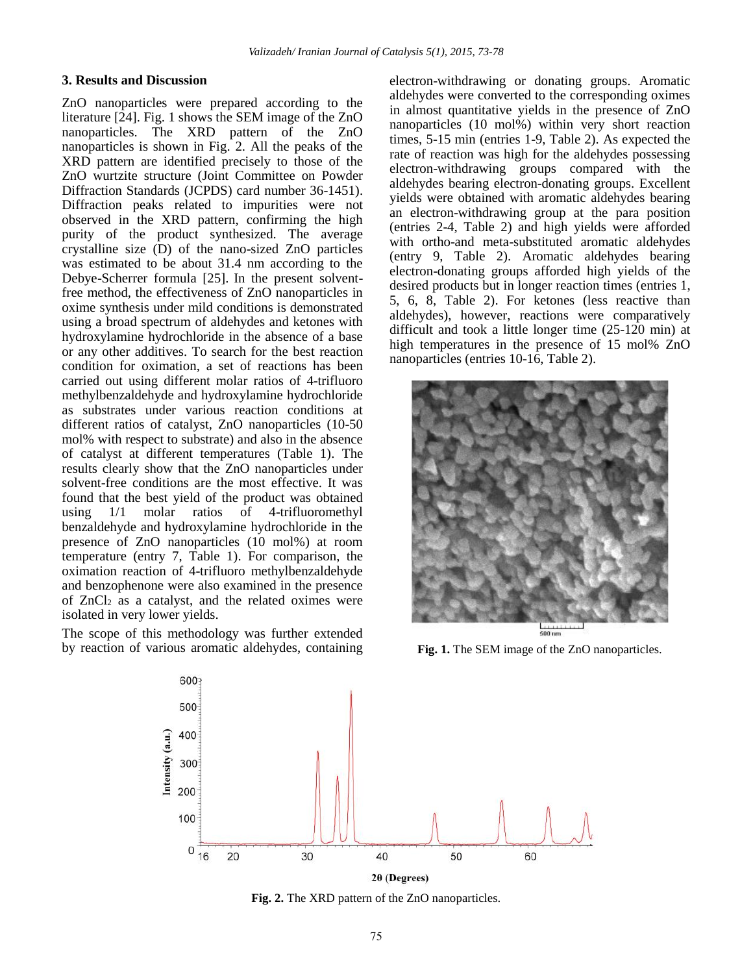## **3. Results and Discussion**

ZnO nanoparticles were prepared according to the literature [24]. Fig. 1 shows the SEM image of the ZnO nanoparticles. The XRD pattern of the ZnO nanoparticles is shown in Fig. 2. All the peaks of the XRD pattern are identified precisely to those of the ZnO wurtzite structure (Joint Committee on Powder Diffraction Standards (JCPDS) card number 36-1451). Diffraction peaks related to impurities were not observed in the XRD pattern, confirming the high purity of the product synthesized. The average crystalline size (D) of the nano-sized ZnO particles was estimated to be about 31.4 nm according to the Debye-Scherrer formula [25]. In the present solventfree method, the effectiveness of ZnO nanoparticles in oxime synthesis under mild conditions is demonstrated using a broad spectrum of aldehydes and ketones with hydroxylamine hydrochloride in the absence of a base or any other additives. To search for the best reaction condition for oximation, a set of reactions has been carried out using different molar ratios of 4-trifluoro methylbenzaldehyde and hydroxylamine hydrochloride as substrates under various reaction conditions at different ratios of catalyst, ZnO nanoparticles (10-50 mol% with respect to substrate) and also in the absence of catalyst at different temperatures (Table 1). The results clearly show that the ZnO nanoparticles under solvent-free conditions are the most effective. It was found that the best yield of the product was obtained using 1/1 molar ratios of 4-trifluoromethyl benzaldehyde and hydroxylamine hydrochloride in the presence of ZnO nanoparticles (10 mol%) at room temperature (entry 7, Table 1). For comparison, the oximation reaction of 4-trifluoro methylbenzaldehyde and benzophenone were also examined in the presence of  $ZnCl<sub>2</sub>$  as a catalyst, and the related oximes were isolated in very lower yields.

The scope of this methodology was further extended by reaction of various aromatic aldehydes, containing electron-withdrawing or donating groups. Aromatic aldehydes were converted to the corresponding oximes in almost quantitative yields in the presence of ZnO nanoparticles (10 mol%) within very short reaction times, 5-15 min (entries 1-9, Table 2). As expected the rate of reaction was high for the aldehydes possessing electron-withdrawing groups compared with the aldehydes bearing electron-donating groups. Excellent yields were obtained with aromatic aldehydes bearing an electron-withdrawing group at the para position (entries 2-4, Table 2) and high yields were afforded with ortho-and meta-substituted aromatic aldehydes (entry 9, Table 2). Aromatic aldehydes bearing electron-donating groups afforded high yields of the desired products but in longer reaction times (entries 1, 5, 6, 8, Table 2). For ketones (less reactive than aldehydes), however, reactions were comparatively difficult and took a little longer time (25-120 min) at high temperatures in the presence of 15 mol% ZnO nanoparticles (entries 10-16, Table 2).



**Fig. 1.** The SEM image of the ZnO nanoparticles.



**Fig. 2.** The XRD pattern of the ZnO nanoparticles.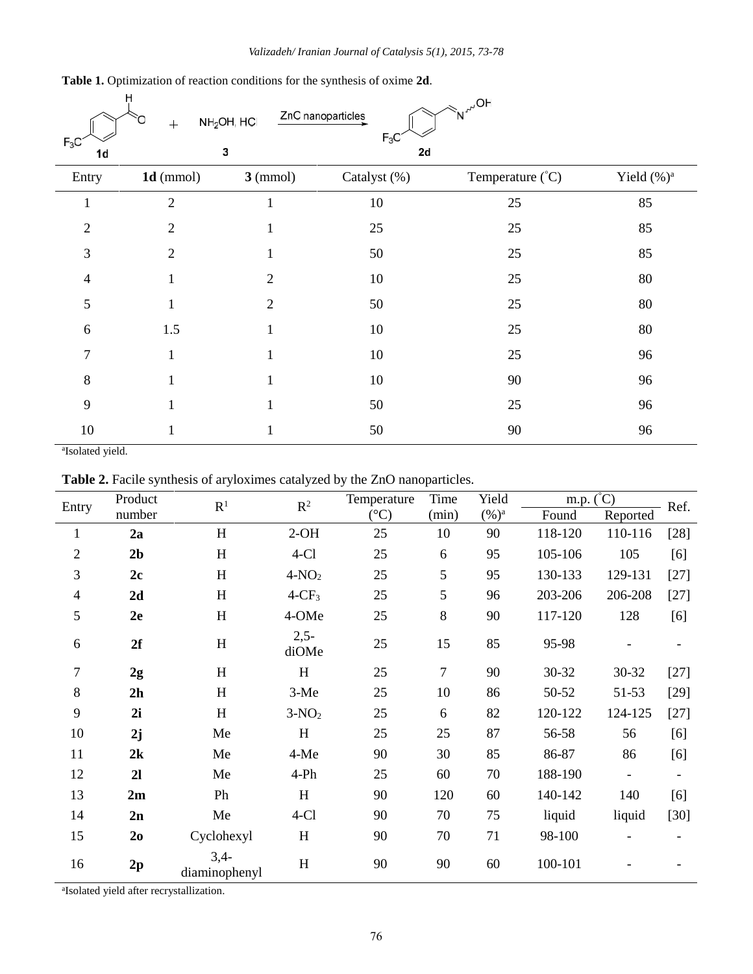| $F_3C$<br>1d   | Ĥ<br>$+$       | $NH2OH$ , HCI<br>3 | ZnO nanoparticles<br>$F_3C$<br>2d | $\ll_{\sf N}^{\mathcal{N}^\mathrm{off}}$ |                |
|----------------|----------------|--------------------|-----------------------------------|------------------------------------------|----------------|
| Entry          | $1d$ (mmol)    | $3 \text{ (mmol)}$ | Catalyst (%)                      | Temperature (°C)                         | Yield $(\%)^a$ |
| 1              | $\overline{2}$ | T                  | 10                                | 25                                       | 85             |
| $\overline{2}$ | $\overline{2}$ | $\mathbf{I}$       | 25                                | 25                                       | 85             |
| 3              | $\overline{2}$ |                    | 50                                | 25                                       | 85             |
| 4              |                | $\overline{2}$     | 10                                | 25                                       | 80             |
| 5              |                | $\overline{2}$     | 50                                | 25                                       | 80             |
| 6              | 1.5            |                    | 10                                | 25                                       | 80             |
| $\overline{7}$ |                |                    | 10                                | 25                                       | 96             |
| 8              |                |                    | 10                                | 90                                       | 96             |
| 9              |                |                    | 50                                | 25                                       | 96             |
| 10             |                |                    | 50                                | 90                                       | 96             |

**Table 1.** Optimization of reaction conditions for the synthesis of oxime **2d**.

<sup>a</sup>Isolated yield.

**Table 2.** Facile synthesis of aryloximes catalyzed by the ZnO nanoparticles.

| Entry          | Product        | $\mathbf{R}^1$            | $\mathbb{R}^2$  | Temperature     | Time<br>Yield  |          | m.p. $\binom{°C}{}$ |                          | Ref.   |
|----------------|----------------|---------------------------|-----------------|-----------------|----------------|----------|---------------------|--------------------------|--------|
|                | number         |                           |                 | $({}^{\circ}C)$ | (min)          | $(\%)^a$ | Found               | Reported                 |        |
| $\mathbf{1}$   | 2a             | $\boldsymbol{\mathrm{H}}$ | $2-OH$          | 25              | 10             | 90       | 118-120             | 110-116                  | $[28]$ |
| 2              | 2 <sub>b</sub> | $\boldsymbol{\mathrm{H}}$ | $4-C1$          | 25              | 6              | 95       | 105-106             | 105                      | [6]    |
| 3              | 2c             | H                         | $4-NO2$         | 25              | 5              | 95       | 130-133             | 129-131                  | $[27]$ |
| $\overline{4}$ | 2d             | H                         | $4-CF_3$        | 25              | 5              | 96       | 203-206             | 206-208                  | $[27]$ |
| 5              | 2e             | $\boldsymbol{\mathrm{H}}$ | 4-OMe           | 25              | 8              | 90       | 117-120             | 128                      | [6]    |
| 6              | 2f             | $H_{\rm}$                 | $2,5-$<br>diOMe | 25              | 15             | 85       | 95-98               |                          |        |
| $\overline{7}$ | 2g             | H                         | H               | 25              | $\overline{7}$ | 90       | 30-32               | 30-32                    | $[27]$ |
| 8              | 2h             | H                         | $3-Me$          | 25              | 10             | 86       | 50-52               | 51-53                    | $[29]$ |
| 9              | 2i             | H                         | $3-NO2$         | 25              | 6              | 82       | 120-122             | 124-125                  | $[27]$ |
| 10             | 2j             | Me                        | H               | 25              | 25             | 87       | 56-58               | 56                       | [6]    |
| 11             | 2k             | Me                        | 4-Me            | 90              | 30             | 85       | 86-87               | 86                       | [6]    |
| 12             | 2l             | Me                        | $4-Ph$          | 25              | 60             | 70       | 188-190             | $\overline{\phantom{a}}$ |        |
| 13             | 2m             | Ph                        | H               | 90              | 120            | 60       | 140-142             | 140                      | [6]    |
| 14             | 2n             | Me                        | $4-C1$          | 90              | 70             | 75       | liquid              | liquid                   | $[30]$ |
| 15             | 2 <sub>0</sub> | Cyclohexyl                | H               | 90              | 70             | 71       | 98-100              |                          |        |
| 16             | 2p             | $3,4-$<br>diaminophenyl   | H               | 90              | 90             | 60       | 100-101             |                          |        |

<sup>a</sup>Isolated yield after recrystallization.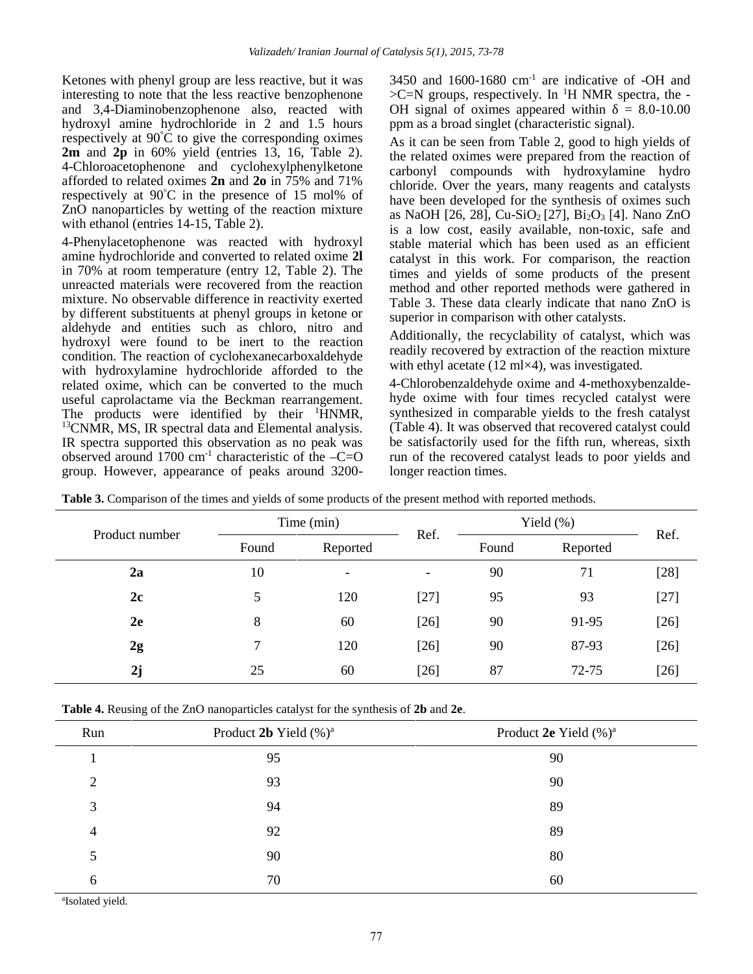Ketones with phenyl group are less reactive, but it was interesting to note that the less reactive benzophenone and 3,4-Diaminobenzophenone also, reacted with hydroxyl amine hydrochloride in 2 and 1.5 hours respectively at 90**°**C to give the corresponding oximes **2m** and **2p** in 60% yield (entries 13, 16, Table 2). 4-Chloroacetophenone and cyclohexylphenylketone afforded to related oximes **2n** and **2o** in 75% and 71% respectively at 90°C in the presence of 15 mol% of ZnO nanoparticles by wetting of the reaction mixture with ethanol (entries 14-15, Table 2).

4-Phenylacetophenone was reacted with hydroxyl amine hydrochloride and converted to related oxime **2l** in 70% at room temperature (entry 12, Table 2). The unreacted materials were recovered from the reaction mixture. No observable difference in reactivity exerted by different substituents at phenyl groups in ketone or aldehyde and entities such as chloro, nitro and hydroxyl were found to be inert to the reaction condition. The reaction of cyclohexanecarboxaldehyde with hydroxylamine hydrochloride afforded to the related oxime, which can be converted to the much useful caprolactame via the Beckman rearrangement. The products were identified by their  $\mathrm{HNMR}$ , <sup>13</sup>CNMR, MS, IR spectral data and Elemental analysis. IR spectra supported this observation as no peak was observed around 1700 cm<sup>-1</sup> characteristic of the  $-C=O$ group. However, appearance of peaks around 3200 $3450$  and  $1600-1680$  cm<sup>-1</sup> are indicative of -OH and  $>C=N$  groups, respectively. In <sup>1</sup>H NMR spectra, the -OH signal of oximes appeared within  $= 8.0 - 10.00$ ppm as a broad singlet (characteristic signal).

As it can be seen from Table 2, good to high yields of the related oximes were prepared from the reaction of carbonyl compounds with hydroxylamine hydro chloride. Over the years, many reagents and catalysts have been developed for the synthesis of oximes such as NaOH [26, 28], Cu-SiO<sup>2</sup> [27], Bi2O<sup>3</sup> [4]. Nano ZnO is a low cost, easily available, non-toxic, safe and stable material which has been used as an efficient catalyst in this work. For comparison, the reaction times and yields of some products of the present method and other reported methods were gathered in Table 3. These data clearly indicate that nano ZnO is superior in comparison with other catalysts.

Additionally, the recyclability of catalyst, which was readily recovered by extraction of the reaction mixture with ethyl acetate (12 ml×4), was investigated.

4-Chlorobenzaldehyde oxime and 4-methoxybenzalde hyde oxime with four times recycled catalyst were synthesized in comparable yields to the fresh catalyst (Table 4). It was observed that recovered catalyst could be satisfactorily used for the fifth run, whereas, sixth run of the recovered catalyst leads to poor yields and longer reaction times.

|                | Time (min) |          |                          | Yield $(\%)$ |          |        |
|----------------|------------|----------|--------------------------|--------------|----------|--------|
| Product number | Found      | Reported | Ref.                     | Found        | Reported | Ref.   |
| 2a             | 10         | -        | $\overline{\phantom{a}}$ | 90           | 71       | $[28]$ |
| 2c             | 5          | 120      | $[27]$                   | 95           | 93       | $[27]$ |
| 2e             | 8          | 60       | $[26]$                   | 90           | 91-95    | $[26]$ |
| 2g             | 7          | 120      | $[26]$                   | 90           | 87-93    | $[26]$ |
| 2j             | 25         | 60       | $[26]$                   | 87           | 72-75    | $[26]$ |
|                |            |          |                          |              |          |        |

**Table 3.** Comparison of the times and yields of some products of the present method with reported methods.

**Table 4.** Reusing of the ZnO nanoparticles catalyst for the synthesis of **2b** and **2e**.

| Run            | Product 2b Yield $(\%)^a$ | Product 2e Yield (%) <sup>a</sup> |
|----------------|---------------------------|-----------------------------------|
|                | 95                        | 90                                |
| $\overline{2}$ | 93                        | 90                                |
| 3              | 94                        | 89                                |
| $\overline{4}$ | 92                        | 89                                |
| 5              | 90                        | 80                                |
| 6              | 70                        | 60                                |

<sup>a</sup>Isolated yield.